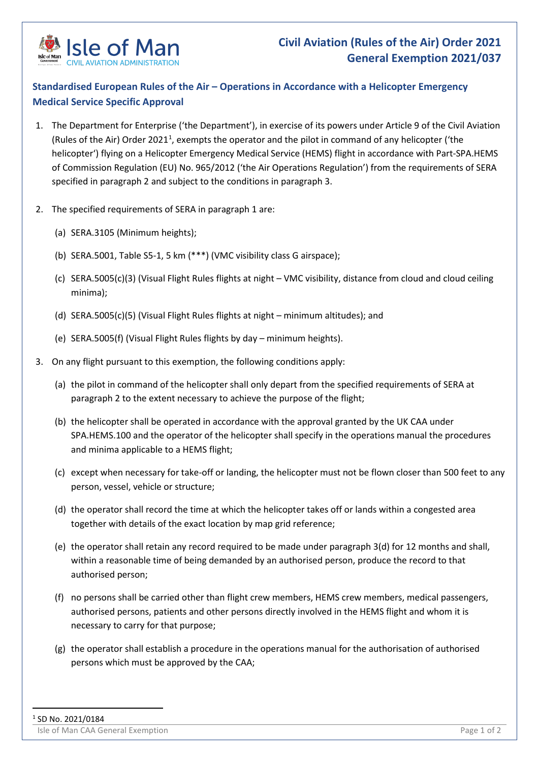

## **Standardised European Rules of the Air – Operations in Accordance with a Helicopter Emergency Medical Service Specific Approval**

- 1. The Department for Enterprise ('the Department'), in exercise of its powers under Article 9 of the Civil Aviation (Rules of the Air) Order 202[1](#page-0-0)<sup>1</sup>, exempts the operator and the pilot in command of any helicopter ('the helicopter') flying on a Helicopter Emergency Medical Service (HEMS) flight in accordance with Part-SPA.HEMS of Commission Regulation (EU) No. 965/2012 ('the Air Operations Regulation') from the requirements of SERA specified in paragraph 2 and subject to the conditions in paragraph 3.
- 2. The specified requirements of SERA in paragraph 1 are:
	- (a) SERA.3105 (Minimum heights);
	- (b) SERA.5001, Table S5-1, 5 km (\*\*\*) (VMC visibility class G airspace);
	- (c) SERA.5005(c)(3) (Visual Flight Rules flights at night VMC visibility, distance from cloud and cloud ceiling minima);
	- (d) SERA.5005(c)(5) (Visual Flight Rules flights at night minimum altitudes); and
	- (e) SERA.5005(f) (Visual Flight Rules flights by day minimum heights).
- <span id="page-0-0"></span>3. On any flight pursuant to this exemption, the following conditions apply:
	- (a) the pilot in command of the helicopter shall only depart from the specified requirements of SERA at paragraph 2 to the extent necessary to achieve the purpose of the flight;
	- (b) the helicopter shall be operated in accordance with the approval granted by the UK CAA under SPA.HEMS.100 and the operator of the helicopter shall specify in the operations manual the procedures and minima applicable to a HEMS flight;
	- (c) except when necessary for take-off or landing, the helicopter must not be flown closer than 500 feet to any person, vessel, vehicle or structure;
	- (d) the operator shall record the time at which the helicopter takes off or lands within a congested area together with details of the exact location by map grid reference;
	- (e) the operator shall retain any record required to be made under paragraph 3(d) for 12 months and shall, within a reasonable time of being demanded by an authorised person, produce the record to that authorised person;
	- (f) no persons shall be carried other than flight crew members, HEMS crew members, medical passengers, authorised persons, patients and other persons directly involved in the HEMS flight and whom it is necessary to carry for that purpose;
	- (g) the operator shall establish a procedure in the operations manual for the authorisation of authorised persons which must be approved by the CAA;